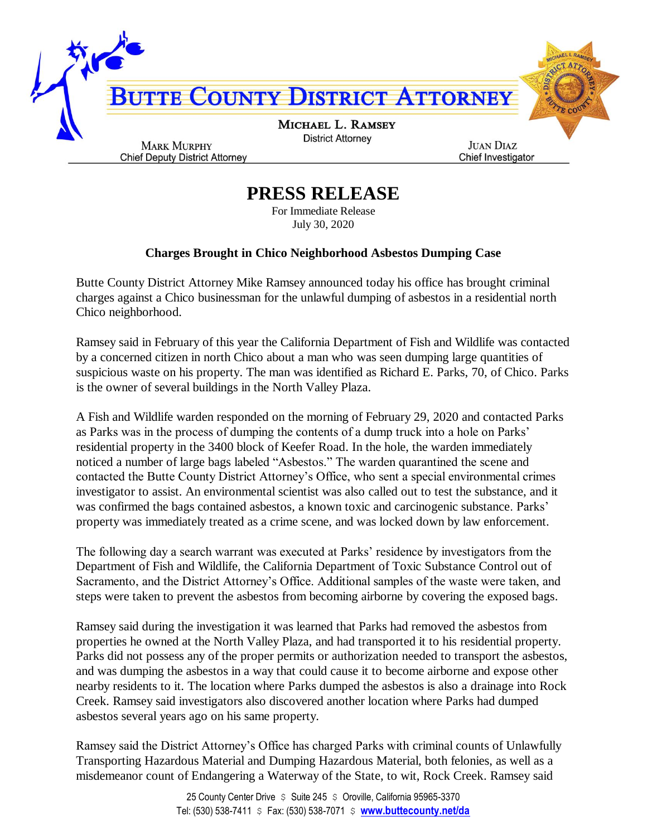

## **PRESS RELEASE**

For Immediate Release July 30, 2020

## **Charges Brought in Chico Neighborhood Asbestos Dumping Case**

Butte County District Attorney Mike Ramsey announced today his office has brought criminal charges against a Chico businessman for the unlawful dumping of asbestos in a residential north Chico neighborhood.

Ramsey said in February of this year the California Department of Fish and Wildlife was contacted by a concerned citizen in north Chico about a man who was seen dumping large quantities of suspicious waste on his property. The man was identified as Richard E. Parks, 70, of Chico. Parks is the owner of several buildings in the North Valley Plaza.

A Fish and Wildlife warden responded on the morning of February 29, 2020 and contacted Parks as Parks was in the process of dumping the contents of a dump truck into a hole on Parks' residential property in the 3400 block of Keefer Road. In the hole, the warden immediately noticed a number of large bags labeled "Asbestos." The warden quarantined the scene and contacted the Butte County District Attorney's Office, who sent a special environmental crimes investigator to assist. An environmental scientist was also called out to test the substance, and it was confirmed the bags contained asbestos, a known toxic and carcinogenic substance. Parks' property was immediately treated as a crime scene, and was locked down by law enforcement.

The following day a search warrant was executed at Parks' residence by investigators from the Department of Fish and Wildlife, the California Department of Toxic Substance Control out of Sacramento, and the District Attorney's Office. Additional samples of the waste were taken, and steps were taken to prevent the asbestos from becoming airborne by covering the exposed bags.

Ramsey said during the investigation it was learned that Parks had removed the asbestos from properties he owned at the North Valley Plaza, and had transported it to his residential property. Parks did not possess any of the proper permits or authorization needed to transport the asbestos, and was dumping the asbestos in a way that could cause it to become airborne and expose other nearby residents to it. The location where Parks dumped the asbestos is also a drainage into Rock Creek. Ramsey said investigators also discovered another location where Parks had dumped asbestos several years ago on his same property.

Ramsey said the District Attorney's Office has charged Parks with criminal counts of Unlawfully Transporting Hazardous Material and Dumping Hazardous Material, both felonies, as well as a misdemeanor count of Endangering a Waterway of the State, to wit, Rock Creek. Ramsey said